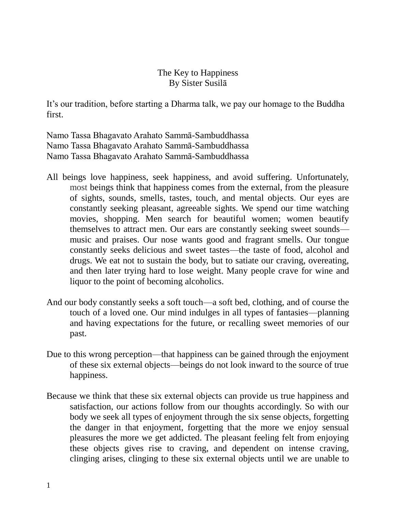## The Key to Happiness By Sister Susilā

It's our tradition, before starting a Dharma talk, we pay our homage to the Buddha first.

Namo Tassa Bhagavato Arahato Sammā-Sambuddhassa Namo Tassa Bhagavato Arahato Sammā-Sambuddhassa Namo Tassa Bhagavato Arahato Sammā-Sambuddhassa

- All beings love happiness, seek happiness, and avoid suffering. Unfortunately, most beings think that happiness comes from the external, from the pleasure of sights, sounds, smells, tastes, touch, and mental objects. Our eyes are constantly seeking pleasant, agreeable sights. We spend our time watching movies, shopping. Men search for beautiful women; women beautify themselves to attract men. Our ears are constantly seeking sweet sounds music and praises. Our nose wants good and fragrant smells. Our tongue constantly seeks delicious and sweet tastes—the taste of food, alcohol and drugs. We eat not to sustain the body, but to satiate our craving, overeating, and then later trying hard to lose weight. Many people crave for wine and liquor to the point of becoming alcoholics.
- And our body constantly seeks a soft touch—a soft bed, clothing, and of course the touch of a loved one. Our mind indulges in all types of fantasies—planning and having expectations for the future, or recalling sweet memories of our past.
- Due to this wrong perception—that happiness can be gained through the enjoyment of these six external objects—beings do not look inward to the source of true happiness.
- Because we think that these six external objects can provide us true happiness and satisfaction, our actions follow from our thoughts accordingly. So with our body we seek all types of enjoyment through the six sense objects, forgetting the danger in that enjoyment, forgetting that the more we enjoy sensual pleasures the more we get addicted. The pleasant feeling felt from enjoying these objects gives rise to craving, and dependent on intense craving, clinging arises, clinging to these six external objects until we are unable to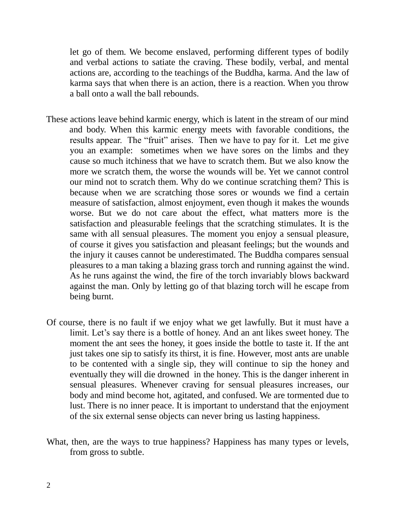let go of them. We become enslaved, performing different types of bodily and verbal actions to satiate the craving. These bodily, verbal, and mental actions are, according to the teachings of the Buddha, karma. And the law of karma says that when there is an action, there is a reaction. When you throw a ball onto a wall the ball rebounds.

- These actions leave behind karmic energy, which is latent in the stream of our mind and body. When this karmic energy meets with favorable conditions, the results appear. The "fruit" arises. Then we have to pay for it. Let me give you an example: sometimes when we have sores on the limbs and they cause so much itchiness that we have to scratch them. But we also know the more we scratch them, the worse the wounds will be. Yet we cannot control our mind not to scratch them. Why do we continue scratching them? This is because when we are scratching those sores or wounds we find a certain measure of satisfaction, almost enjoyment, even though it makes the wounds worse. But we do not care about the effect, what matters more is the satisfaction and pleasurable feelings that the scratching stimulates. It is the same with all sensual pleasures. The moment you enjoy a sensual pleasure, of course it gives you satisfaction and pleasant feelings; but the wounds and the injury it causes cannot be underestimated. The Buddha compares sensual pleasures to a man taking a blazing grass torch and running against the wind. As he runs against the wind, the fire of the torch invariably blows backward against the man. Only by letting go of that blazing torch will he escape from being burnt.
- Of course, there is no fault if we enjoy what we get lawfully. But it must have a limit. Let's say there is a bottle of honey. And an ant likes sweet honey. The moment the ant sees the honey, it goes inside the bottle to taste it. If the ant just takes one sip to satisfy its thirst, it is fine. However, most ants are unable to be contented with a single sip, they will continue to sip the honey and eventually they will die drowned in the honey. This is the danger inherent in sensual pleasures. Whenever craving for sensual pleasures increases, our body and mind become hot, agitated, and confused. We are tormented due to lust. There is no inner peace. It is important to understand that the enjoyment of the six external sense objects can never bring us lasting happiness.
- What, then, are the ways to true happiness? Happiness has many types or levels, from gross to subtle.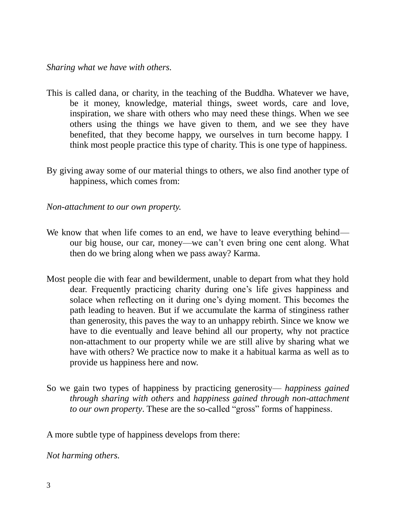- This is called dana, or charity, in the teaching of the Buddha. Whatever we have, be it money, knowledge, material things, sweet words, care and love, inspiration, we share with others who may need these things. When we see others using the things we have given to them, and we see they have benefited, that they become happy, we ourselves in turn become happy. I think most people practice this type of charity. This is one type of happiness.
- By giving away some of our material things to others, we also find another type of happiness, which comes from:

*Non-attachment to our own property.*

- We know that when life comes to an end, we have to leave everything behind our big house, our car, money—we can't even bring one cent along. What then do we bring along when we pass away? Karma.
- Most people die with fear and bewilderment, unable to depart from what they hold dear. Frequently practicing charity during one's life gives happiness and solace when reflecting on it during one's dying moment. This becomes the path leading to heaven. But if we accumulate the karma of stinginess rather than generosity, this paves the way to an unhappy rebirth. Since we know we have to die eventually and leave behind all our property, why not practice non-attachment to our property while we are still alive by sharing what we have with others? We practice now to make it a habitual karma as well as to provide us happiness here and now.
- So we gain two types of happiness by practicing generosity— *happiness gained through sharing with others* and *happiness gained through non-attachment to our own property*. These are the so-called "gross" forms of happiness.

A more subtle type of happiness develops from there:

*Not harming others.*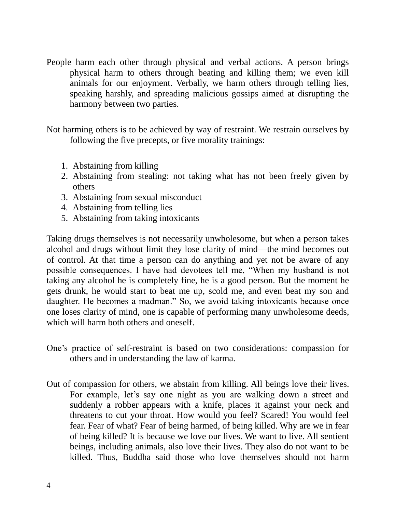People harm each other through physical and verbal actions. A person brings physical harm to others through beating and killing them; we even kill animals for our enjoyment. Verbally, we harm others through telling lies, speaking harshly, and spreading malicious gossips aimed at disrupting the harmony between two parties.

Not harming others is to be achieved by way of restraint. We restrain ourselves by following the five precepts, or five morality trainings:

- 1. Abstaining from killing
- 2. Abstaining from stealing: not taking what has not been freely given by others
- 3. Abstaining from sexual misconduct
- 4. Abstaining from telling lies
- 5. Abstaining from taking intoxicants

Taking drugs themselves is not necessarily unwholesome, but when a person takes alcohol and drugs without limit they lose clarity of mind—the mind becomes out of control. At that time a person can do anything and yet not be aware of any possible consequences. I have had devotees tell me, "When my husband is not taking any alcohol he is completely fine, he is a good person. But the moment he gets drunk, he would start to beat me up, scold me, and even beat my son and daughter. He becomes a madman." So, we avoid taking intoxicants because once one loses clarity of mind, one is capable of performing many unwholesome deeds, which will harm both others and oneself.

- One's practice of self-restraint is based on two considerations: compassion for others and in understanding the law of karma.
- Out of compassion for others, we abstain from killing. All beings love their lives. For example, let's say one night as you are walking down a street and suddenly a robber appears with a knife, places it against your neck and threatens to cut your throat. How would you feel? Scared! You would feel fear. Fear of what? Fear of being harmed, of being killed. Why are we in fear of being killed? It is because we love our lives. We want to live. All sentient beings, including animals, also love their lives. They also do not want to be killed. Thus, Buddha said those who love themselves should not harm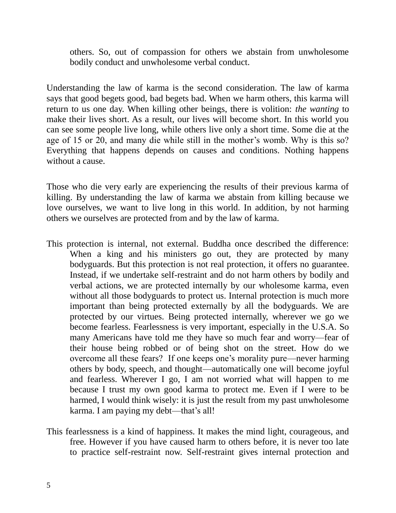others. So, out of compassion for others we abstain from unwholesome bodily conduct and unwholesome verbal conduct.

Understanding the law of karma is the second consideration. The law of karma says that good begets good, bad begets bad. When we harm others, this karma will return to us one day. When killing other beings, there is volition: *the wanting* to make their lives short. As a result, our lives will become short. In this world you can see some people live long, while others live only a short time. Some die at the age of 15 or 20, and many die while still in the mother's womb. Why is this so? Everything that happens depends on causes and conditions. Nothing happens without a cause.

Those who die very early are experiencing the results of their previous karma of killing. By understanding the law of karma we abstain from killing because we love ourselves, we want to live long in this world. In addition, by not harming others we ourselves are protected from and by the law of karma.

- This protection is internal, not external. Buddha once described the difference: When a king and his ministers go out, they are protected by many bodyguards. But this protection is not real protection, it offers no guarantee. Instead, if we undertake self-restraint and do not harm others by bodily and verbal actions, we are protected internally by our wholesome karma, even without all those bodyguards to protect us. Internal protection is much more important than being protected externally by all the bodyguards. We are protected by our virtues. Being protected internally, wherever we go we become fearless. Fearlessness is very important, especially in the U.S.A. So many Americans have told me they have so much fear and worry—fear of their house being robbed or of being shot on the street. How do we overcome all these fears? If one keeps one's morality pure—never harming others by body, speech, and thought—automatically one will become joyful and fearless. Wherever I go, I am not worried what will happen to me because I trust my own good karma to protect me. Even if I were to be harmed, I would think wisely: it is just the result from my past unwholesome karma. I am paying my debt—that's all!
- This fearlessness is a kind of happiness. It makes the mind light, courageous, and free. However if you have caused harm to others before, it is never too late to practice self-restraint now. Self-restraint gives internal protection and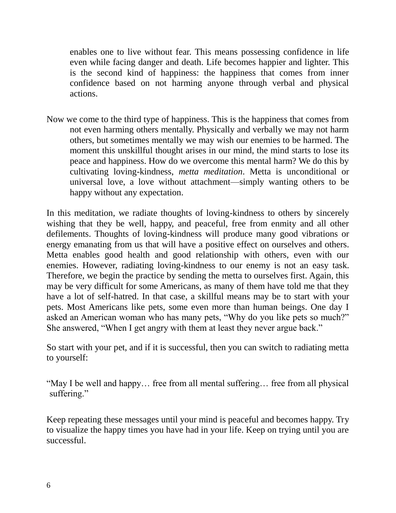enables one to live without fear. This means possessing confidence in life even while facing danger and death. Life becomes happier and lighter. This is the second kind of happiness: the happiness that comes from inner confidence based on not harming anyone through verbal and physical actions.

Now we come to the third type of happiness. This is the happiness that comes from not even harming others mentally. Physically and verbally we may not harm others, but sometimes mentally we may wish our enemies to be harmed. The moment this unskillful thought arises in our mind, the mind starts to lose its peace and happiness. How do we overcome this mental harm? We do this by cultivating loving-kindness, *metta meditation*. Metta is unconditional or universal love, a love without attachment—simply wanting others to be happy without any expectation.

In this meditation, we radiate thoughts of loving-kindness to others by sincerely wishing that they be well, happy, and peaceful, free from enmity and all other defilements. Thoughts of loving-kindness will produce many good vibrations or energy emanating from us that will have a positive effect on ourselves and others. Metta enables good health and good relationship with others, even with our enemies. However, radiating loving-kindness to our enemy is not an easy task. Therefore, we begin the practice by sending the metta to ourselves first. Again, this may be very difficult for some Americans, as many of them have told me that they have a lot of self-hatred. In that case, a skillful means may be to start with your pets. Most Americans like pets, some even more than human beings. One day I asked an American woman who has many pets, "Why do you like pets so much?" She answered, "When I get angry with them at least they never argue back."

So start with your pet, and if it is successful, then you can switch to radiating metta to yourself:

"May I be well and happy… free from all mental suffering… free from all physical suffering."

Keep repeating these messages until your mind is peaceful and becomes happy. Try to visualize the happy times you have had in your life. Keep on trying until you are successful.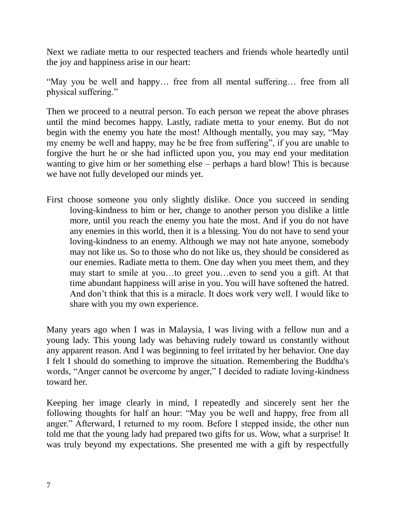Next we radiate metta to our respected teachers and friends whole heartedly until the joy and happiness arise in our heart:

"May you be well and happy… free from all mental suffering… free from all physical suffering."

Then we proceed to a neutral person. To each person we repeat the above phrases until the mind becomes happy. Lastly, radiate metta to your enemy. But do not begin with the enemy you hate the most! Although mentally, you may say, "May my enemy be well and happy, may he be free from suffering", if you are unable to forgive the hurt he or she had inflicted upon you, you may end your meditation wanting to give him or her something else – perhaps a hard blow! This is because we have not fully developed our minds yet.

First choose someone you only slightly dislike. Once you succeed in sending loving-kindness to him or her, change to another person you dislike a little more, until you reach the enemy you hate the most. And if you do not have any enemies in this world, then it is a blessing. You do not have to send your loving-kindness to an enemy. Although we may not hate anyone, somebody may not like us. So to those who do not like us, they should be considered as our enemies. Radiate metta to them. One day when you meet them, and they may start to smile at you…to greet you…even to send you a gift. At that time abundant happiness will arise in you. You will have softened the hatred. And don't think that this is a miracle. It does work very well. I would like to share with you my own experience.

Many years ago when I was in Malaysia, I was living with a fellow nun and a young lady. This young lady was behaving rudely toward us constantly without any apparent reason. And I was beginning to feel irritated by her behavior. One day I felt I should do something to improve the situation. Remembering the Buddha's words, "Anger cannot be overcome by anger," I decided to radiate loving-kindness toward her.

Keeping her image clearly in mind, I repeatedly and sincerely sent her the following thoughts for half an hour: "May you be well and happy, free from all anger." Afterward, I returned to my room. Before I stepped inside, the other nun told me that the young lady had prepared two gifts for us. Wow, what a surprise! It was truly beyond my expectations. She presented me with a gift by respectfully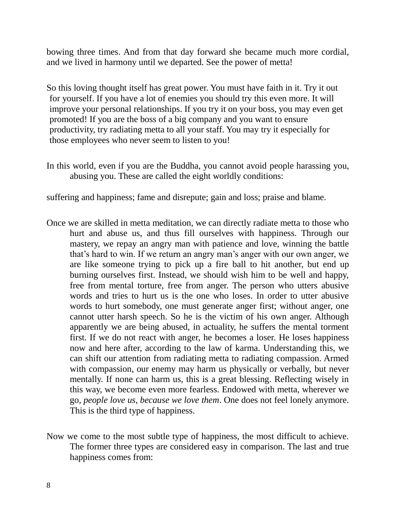bowing three times. And from that day forward she became much more cordial, and we lived in harmony until we departed. See the power of metta!

So this loving thought itself has great power. You must have faith in it. Try it out for yourself. If you have a lot of enemies you should try this even more. It will improve your personal relationships. If you try it on your boss, you may even get promoted! If you are the boss of a big company and you want to ensure productivity, try radiating metta to all your staff. You may try it especially for those employees who never seem to listen to you!

In this world, even if you are the Buddha, you cannot avoid people harassing you, abusing you. These are called the eight worldly conditions:

suffering and happiness; fame and disrepute; gain and loss; praise and blame.

- Once we are skilled in metta meditation, we can directly radiate metta to those who hurt and abuse us, and thus fill ourselves with happiness. Through our mastery, we repay an angry man with patience and love, winning the battle that's hard to win. If we return an angry man's anger with our own anger, we are like someone trying to pick up a fire ball to hit another, but end up burning ourselves first. Instead, we should wish him to be well and happy, free from mental torture, free from anger. The person who utters abusive words and tries to hurt us is the one who loses. In order to utter abusive words to hurt somebody, one must generate anger first; without anger, one cannot utter harsh speech. So he is the victim of his own anger. Although apparently we are being abused, in actuality, he suffers the mental torment first. If we do not react with anger, he becomes a loser. He loses happiness now and here after, according to the law of karma. Understanding this, we can shift our attention from radiating metta to radiating compassion. Armed with compassion, our enemy may harm us physically or verbally, but never mentally. If none can harm us, this is a great blessing. Reflecting wisely in this way, we become even more fearless. Endowed with metta, wherever we go, *people love us, because we love them*. One does not feel lonely anymore. This is the third type of happiness.
- Now we come to the most subtle type of happiness, the most difficult to achieve. The former three types are considered easy in comparison. The last and true happiness comes from: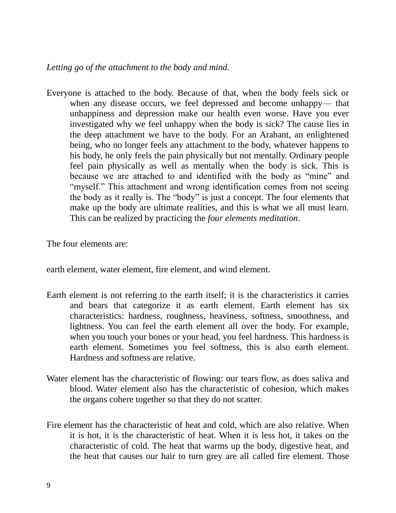## *Letting go of the attachment to the body and mind.*

Everyone is attached to the body. Because of that, when the body feels sick or when any disease occurs, we feel depressed and become unhappy— that unhappiness and depression make our health even worse. Have you ever investigated why we feel unhappy when the body is sick? The cause lies in the deep attachment we have to the body. For an Arahant, an enlightened being, who no longer feels any attachment to the body, whatever happens to his body, he only feels the pain physically but not mentally. Ordinary people feel pain physically as well as mentally when the body is sick. This is because we are attached to and identified with the body as "mine" and "myself." This attachment and wrong identification comes from not seeing the body as it really is. The "body" is just a concept. The four elements that make up the body are ultimate realities, and this is what we all must learn. This can be realized by practicing the *four elements meditation*.

The four elements are:

earth element, water element, fire element, and wind element.

- Earth element is not referring to the earth itself; it is the characteristics it carries and bears that categorize it as earth element. Earth element has six characteristics: hardness, roughness, heaviness, softness, smoothness, and lightness. You can feel the earth element all over the body. For example, when you touch your bones or your head, you feel hardness. This hardness is earth element. Sometimes you feel softness, this is also earth element. Hardness and softness are relative.
- Water element has the characteristic of flowing: our tears flow, as does saliva and blood. Water element also has the characteristic of cohesion, which makes the organs cohere together so that they do not scatter.
- Fire element has the characteristic of heat and cold, which are also relative. When it is hot, it is the characteristic of heat. When it is less hot, it takes on the characteristic of cold. The heat that warms up the body, digestive heat, and the heat that causes our hair to turn grey are all called fire element. Those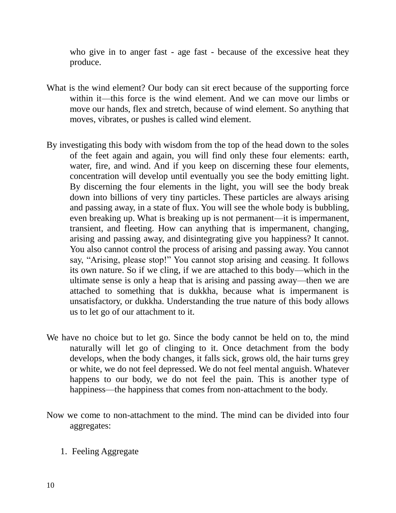who give in to anger fast - age fast - because of the excessive heat they produce.

- What is the wind element? Our body can sit erect because of the supporting force within it—this force is the wind element. And we can move our limbs or move our hands, flex and stretch, because of wind element. So anything that moves, vibrates, or pushes is called wind element.
- By investigating this body with wisdom from the top of the head down to the soles of the feet again and again, you will find only these four elements: earth, water, fire, and wind. And if you keep on discerning these four elements, concentration will develop until eventually you see the body emitting light. By discerning the four elements in the light, you will see the body break down into billions of very tiny particles. These particles are always arising and passing away, in a state of flux. You will see the whole body is bubbling, even breaking up. What is breaking up is not permanent—it is impermanent, transient, and fleeting. How can anything that is impermanent, changing, arising and passing away, and disintegrating give you happiness? It cannot. You also cannot control the process of arising and passing away. You cannot say, "Arising, please stop!" You cannot stop arising and ceasing. It follows its own nature. So if we cling, if we are attached to this body—which in the ultimate sense is only a heap that is arising and passing away—then we are attached to something that is dukkha, because what is impermanent is unsatisfactory, or dukkha. Understanding the true nature of this body allows us to let go of our attachment to it.
- We have no choice but to let go. Since the body cannot be held on to, the mind naturally will let go of clinging to it. Once detachment from the body develops, when the body changes, it falls sick, grows old, the hair turns grey or white, we do not feel depressed. We do not feel mental anguish. Whatever happens to our body, we do not feel the pain. This is another type of happiness—the happiness that comes from non-attachment to the body.
- Now we come to non-attachment to the mind. The mind can be divided into four aggregates:
	- 1. Feeling Aggregate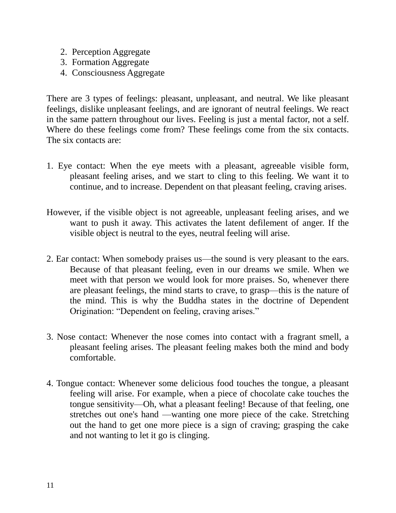- 2. Perception Aggregate
- 3. Formation Aggregate
- 4. Consciousness Aggregate

There are 3 types of feelings: pleasant, unpleasant, and neutral. We like pleasant feelings, dislike unpleasant feelings, and are ignorant of neutral feelings. We react in the same pattern throughout our lives. Feeling is just a mental factor, not a self. Where do these feelings come from? These feelings come from the six contacts. The six contacts are:

- 1. Eye contact: When the eye meets with a pleasant, agreeable visible form, pleasant feeling arises, and we start to cling to this feeling. We want it to continue, and to increase. Dependent on that pleasant feeling, craving arises.
- However, if the visible object is not agreeable, unpleasant feeling arises, and we want to push it away. This activates the latent defilement of anger. If the visible object is neutral to the eyes, neutral feeling will arise.
- 2. Ear contact: When somebody praises us—the sound is very pleasant to the ears. Because of that pleasant feeling, even in our dreams we smile. When we meet with that person we would look for more praises. So, whenever there are pleasant feelings, the mind starts to crave, to grasp—this is the nature of the mind. This is why the Buddha states in the doctrine of Dependent Origination: "Dependent on feeling, craving arises."
- 3. Nose contact: Whenever the nose comes into contact with a fragrant smell, a pleasant feeling arises. The pleasant feeling makes both the mind and body comfortable.
- 4. Tongue contact: Whenever some delicious food touches the tongue, a pleasant feeling will arise. For example, when a piece of chocolate cake touches the tongue sensitivity—Oh, what a pleasant feeling! Because of that feeling, one stretches out one's hand —wanting one more piece of the cake. Stretching out the hand to get one more piece is a sign of craving; grasping the cake and not wanting to let it go is clinging.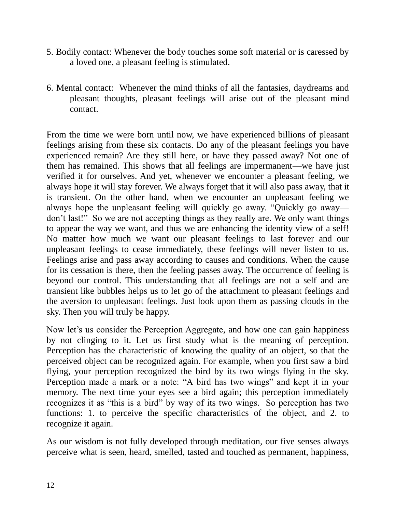- 5. Bodily contact: Whenever the body touches some soft material or is caressed by a loved one, a pleasant feeling is stimulated.
- 6. Mental contact: Whenever the mind thinks of all the fantasies, daydreams and pleasant thoughts, pleasant feelings will arise out of the pleasant mind contact.

From the time we were born until now, we have experienced billions of pleasant feelings arising from these six contacts. Do any of the pleasant feelings you have experienced remain? Are they still here, or have they passed away? Not one of them has remained. This shows that all feelings are impermanent—we have just verified it for ourselves. And yet, whenever we encounter a pleasant feeling, we always hope it will stay forever. We always forget that it will also pass away, that it is transient. On the other hand, when we encounter an unpleasant feeling we always hope the unpleasant feeling will quickly go away. "Quickly go away don't last!" So we are not accepting things as they really are. We only want things to appear the way we want, and thus we are enhancing the identity view of a self! No matter how much we want our pleasant feelings to last forever and our unpleasant feelings to cease immediately, these feelings will never listen to us. Feelings arise and pass away according to causes and conditions. When the cause for its cessation is there, then the feeling passes away. The occurrence of feeling is beyond our control. This understanding that all feelings are not a self and are transient like bubbles helps us to let go of the attachment to pleasant feelings and the aversion to unpleasant feelings. Just look upon them as passing clouds in the sky. Then you will truly be happy.

Now let's us consider the Perception Aggregate, and how one can gain happiness by not clinging to it. Let us first study what is the meaning of perception. Perception has the characteristic of knowing the quality of an object, so that the perceived object can be recognized again. For example, when you first saw a bird flying, your perception recognized the bird by its two wings flying in the sky. Perception made a mark or a note: "A bird has two wings" and kept it in your memory. The next time your eyes see a bird again; this perception immediately recognizes it as "this is a bird" by way of its two wings. So perception has two functions: 1. to perceive the specific characteristics of the object, and 2. to recognize it again.

As our wisdom is not fully developed through meditation, our five senses always perceive what is seen, heard, smelled, tasted and touched as permanent, happiness,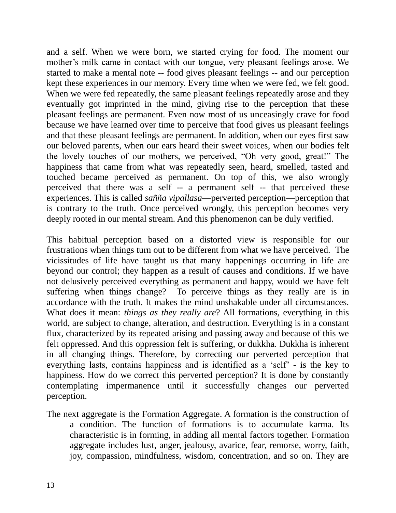and a self. When we were born, we started crying for food. The moment our mother's milk came in contact with our tongue, very pleasant feelings arose. We started to make a mental note -- food gives pleasant feelings -- and our perception kept these experiences in our memory. Every time when we were fed, we felt good. When we were fed repeatedly, the same pleasant feelings repeatedly arose and they eventually got imprinted in the mind, giving rise to the perception that these pleasant feelings are permanent. Even now most of us unceasingly crave for food because we have learned over time to perceive that food gives us pleasant feelings and that these pleasant feelings are permanent. In addition, when our eyes first saw our beloved parents, when our ears heard their sweet voices, when our bodies felt the lovely touches of our mothers, we perceived, "Oh very good, great!" The happiness that came from what was repeatedly seen, heard, smelled, tasted and touched became perceived as permanent. On top of this, we also wrongly perceived that there was a self -- a permanent self -- that perceived these experiences. This is called *sañña vipallasa*—perverted perception—perception that is contrary to the truth. Once perceived wrongly, this perception becomes very deeply rooted in our mental stream. And this phenomenon can be duly verified.

This habitual perception based on a distorted view is responsible for our frustrations when things turn out to be different from what we have perceived. The vicissitudes of life have taught us that many happenings occurring in life are beyond our control; they happen as a result of causes and conditions. If we have not delusively perceived everything as permanent and happy, would we have felt suffering when things change? To perceive things as they really are is in accordance with the truth. It makes the mind unshakable under all circumstances. What does it mean: *things as they really are*? All formations, everything in this world, are subject to change, alteration, and destruction. Everything is in a constant flux, characterized by its repeated arising and passing away and because of this we felt oppressed. And this oppression felt is suffering, or dukkha. Dukkha is inherent in all changing things. Therefore, by correcting our perverted perception that everything lasts, contains happiness and is identified as a 'self' - is the key to happiness. How do we correct this perverted perception? It is done by constantly contemplating impermanence until it successfully changes our perverted perception.

The next aggregate is the Formation Aggregate. A formation is the construction of a condition. The function of formations is to accumulate karma. Its characteristic is in forming, in adding all mental factors together. Formation aggregate includes lust, anger, jealousy, avarice, fear, remorse, worry, faith, joy, compassion, mindfulness, wisdom, concentration, and so on. They are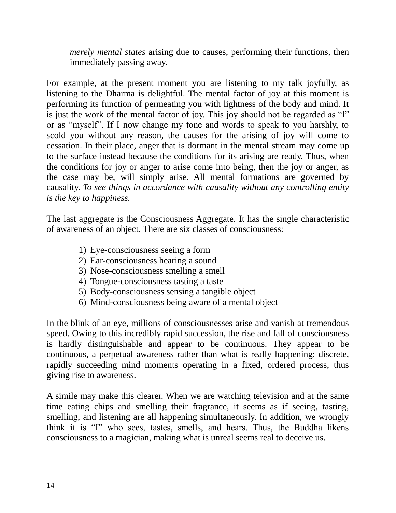*merely mental states* arising due to causes, performing their functions, then immediately passing away.

For example, at the present moment you are listening to my talk joyfully, as listening to the Dharma is delightful. The mental factor of joy at this moment is performing its function of permeating you with lightness of the body and mind. It is just the work of the mental factor of joy. This joy should not be regarded as "I" or as "myself". If I now change my tone and words to speak to you harshly, to scold you without any reason, the causes for the arising of joy will come to cessation. In their place, anger that is dormant in the mental stream may come up to the surface instead because the conditions for its arising are ready. Thus, when the conditions for joy or anger to arise come into being, then the joy or anger, as the case may be, will simply arise. All mental formations are governed by causality. *To see things in accordance with causality without any controlling entity is the key to happiness.*

The last aggregate is the Consciousness Aggregate. It has the single characteristic of awareness of an object. There are six classes of consciousness:

- 1) Eye-consciousness seeing a form
- 2) Ear-consciousness hearing a sound
- 3) Nose-consciousness smelling a smell
- 4) Tongue-consciousness tasting a taste
- 5) Body-consciousness sensing a tangible object
- 6) Mind-consciousness being aware of a mental object

In the blink of an eye, millions of consciousnesses arise and vanish at tremendous speed. Owing to this incredibly rapid succession, the rise and fall of consciousness is hardly distinguishable and appear to be continuous. They appear to be continuous, a perpetual awareness rather than what is really happening: discrete, rapidly succeeding mind moments operating in a fixed, ordered process, thus giving rise to awareness.

A simile may make this clearer. When we are watching television and at the same time eating chips and smelling their fragrance, it seems as if seeing, tasting, smelling, and listening are all happening simultaneously. In addition, we wrongly think it is "I" who sees, tastes, smells, and hears. Thus, the Buddha likens consciousness to a magician, making what is unreal seems real to deceive us.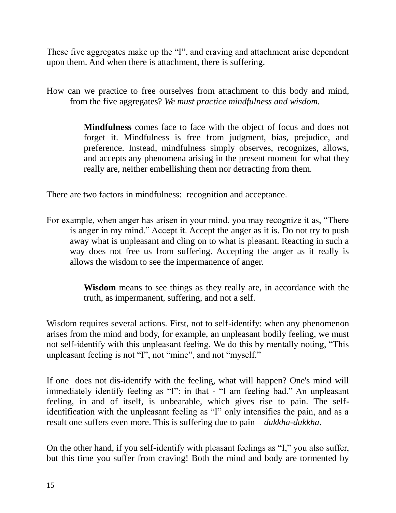These five aggregates make up the "I", and craving and attachment arise dependent upon them. And when there is attachment, there is suffering.

How can we practice to free ourselves from attachment to this body and mind, from the five aggregates? *We must practice mindfulness and wisdom.*

> **Mindfulness** comes face to face with the object of focus and does not forget it. Mindfulness is free from judgment, bias, prejudice, and preference. Instead, mindfulness simply observes, recognizes, allows, and accepts any phenomena arising in the present moment for what they really are, neither embellishing them nor detracting from them.

There are two factors in mindfulness: recognition and acceptance.

For example, when anger has arisen in your mind, you may recognize it as, "There is anger in my mind." Accept it. Accept the anger as it is. Do not try to push away what is unpleasant and cling on to what is pleasant. Reacting in such a way does not free us from suffering. Accepting the anger as it really is allows the wisdom to see the impermanence of anger.

> **Wisdom** means to see things as they really are, in accordance with the truth, as impermanent, suffering, and not a self.

Wisdom requires several actions. First, not to self-identify: when any phenomenon arises from the mind and body, for example, an unpleasant bodily feeling, we must not self-identify with this unpleasant feeling. We do this by mentally noting, "This unpleasant feeling is not "I", not "mine", and not "myself."

If one does not dis-identify with the feeling, what will happen? One's mind will immediately identify feeling as "I": in that - "I am feeling bad." An unpleasant feeling, in and of itself, is unbearable, which gives rise to pain. The selfidentification with the unpleasant feeling as "I" only intensifies the pain, and as a result one suffers even more. This is suffering due to pain—*dukkha-dukkha*.

On the other hand, if you self-identify with pleasant feelings as "I," you also suffer, but this time you suffer from craving! Both the mind and body are tormented by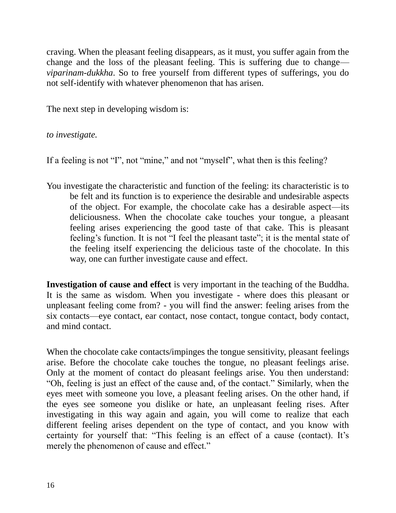craving. When the pleasant feeling disappears, as it must, you suffer again from the change and the loss of the pleasant feeling. This is suffering due to change *viparinam-dukkha*. So to free yourself from different types of sufferings, you do not self-identify with whatever phenomenon that has arisen.

The next step in developing wisdom is:

## *to investigate.*

If a feeling is not "I", not "mine," and not "myself", what then is this feeling?

You investigate the characteristic and function of the feeling: its characteristic is to be felt and its function is to experience the desirable and undesirable aspects of the object. For example, the chocolate cake has a desirable aspect—its deliciousness. When the chocolate cake touches your tongue, a pleasant feeling arises experiencing the good taste of that cake. This is pleasant feeling's function. It is not "I feel the pleasant taste"; it is the mental state of the feeling itself experiencing the delicious taste of the chocolate. In this way, one can further investigate cause and effect.

**Investigation of cause and effect** is very important in the teaching of the Buddha. It is the same as wisdom. When you investigate - where does this pleasant or unpleasant feeling come from? - you will find the answer: feeling arises from the six contacts—eye contact, ear contact, nose contact, tongue contact, body contact, and mind contact.

When the chocolate cake contacts/impinges the tongue sensitivity, pleasant feelings arise. Before the chocolate cake touches the tongue, no pleasant feelings arise. Only at the moment of contact do pleasant feelings arise. You then understand: "Oh, feeling is just an effect of the cause and, of the contact." Similarly, when the eyes meet with someone you love, a pleasant feeling arises. On the other hand, if the eyes see someone you dislike or hate, an unpleasant feeling rises. After investigating in this way again and again, you will come to realize that each different feeling arises dependent on the type of contact, and you know with certainty for yourself that: "This feeling is an effect of a cause (contact). It's merely the phenomenon of cause and effect."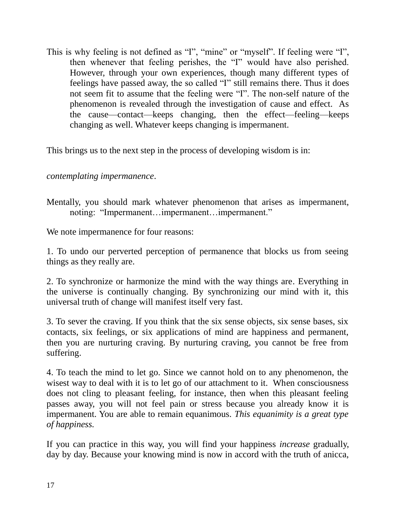This is why feeling is not defined as "I", "mine" or "myself". If feeling were "I", then whenever that feeling perishes, the "I" would have also perished. However, through your own experiences, though many different types of feelings have passed away, the so called "I" still remains there. Thus it does not seem fit to assume that the feeling were "I". The non-self nature of the phenomenon is revealed through the investigation of cause and effect. As the cause—contact—keeps changing, then the effect—feeling—keeps changing as well. Whatever keeps changing is impermanent.

This brings us to the next step in the process of developing wisdom is in:

## *contemplating impermanence*.

Mentally, you should mark whatever phenomenon that arises as impermanent, noting: "Impermanent…impermanent…impermanent."

We note impermanence for four reasons:

1. To undo our perverted perception of permanence that blocks us from seeing things as they really are.

2. To synchronize or harmonize the mind with the way things are. Everything in the universe is continually changing. By synchronizing our mind with it, this universal truth of change will manifest itself very fast.

3. To sever the craving. If you think that the six sense objects, six sense bases, six contacts, six feelings, or six applications of mind are happiness and permanent, then you are nurturing craving. By nurturing craving, you cannot be free from suffering.

4. To teach the mind to let go. Since we cannot hold on to any phenomenon, the wisest way to deal with it is to let go of our attachment to it. When consciousness does not cling to pleasant feeling, for instance, then when this pleasant feeling passes away, you will not feel pain or stress because you already know it is impermanent. You are able to remain equanimous. *This equanimity is a great type of happiness.*

If you can practice in this way, you will find your happiness *increase* gradually, day by day. Because your knowing mind is now in accord with the truth of anicca,